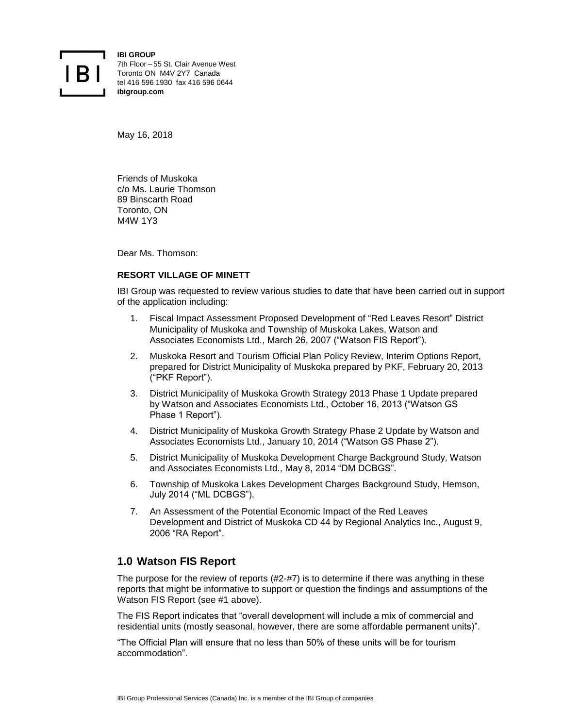

**IBI GROUP** 7th Floor – 55 St. Clair Avenue West Toronto ON M4V 2Y7 Canada tel 416 596 1930 fax 416 596 0644 **ibigroup.com**

May 16, 2018

Friends of Muskoka c/o Ms. Laurie Thomson 89 Binscarth Road Toronto, ON M4W 1Y3

Dear Ms. Thomson:

## **RESORT VILLAGE OF MINETT**

IBI Group was requested to review various studies to date that have been carried out in support of the application including:

- 1. Fiscal Impact Assessment Proposed Development of "Red Leaves Resort" District Municipality of Muskoka and Township of Muskoka Lakes, Watson and Associates Economists Ltd., March 26, 2007 ("Watson FIS Report").
- 2. Muskoka Resort and Tourism Official Plan Policy Review, Interim Options Report, prepared for District Municipality of Muskoka prepared by PKF, February 20, 2013 ("PKF Report").
- 3. District Municipality of Muskoka Growth Strategy 2013 Phase 1 Update prepared by Watson and Associates Economists Ltd., October 16, 2013 ("Watson GS Phase 1 Report").
- 4. District Municipality of Muskoka Growth Strategy Phase 2 Update by Watson and Associates Economists Ltd., January 10, 2014 ("Watson GS Phase 2").
- 5. District Municipality of Muskoka Development Charge Background Study, Watson and Associates Economists Ltd., May 8, 2014 "DM DCBGS".
- 6. Township of Muskoka Lakes Development Charges Background Study, Hemson, July 2014 ("ML DCBGS").
- 7. An Assessment of the Potential Economic Impact of the Red Leaves Development and District of Muskoka CD 44 by Regional Analytics Inc., August 9, 2006 "RA Report".

# **1.0 Watson FIS Report**

The purpose for the review of reports (#2-#7) is to determine if there was anything in these reports that might be informative to support or question the findings and assumptions of the Watson FIS Report (see #1 above).

The FIS Report indicates that "overall development will include a mix of commercial and residential units (mostly seasonal, however, there are some affordable permanent units)".

"The Official Plan will ensure that no less than 50% of these units will be for tourism accommodation".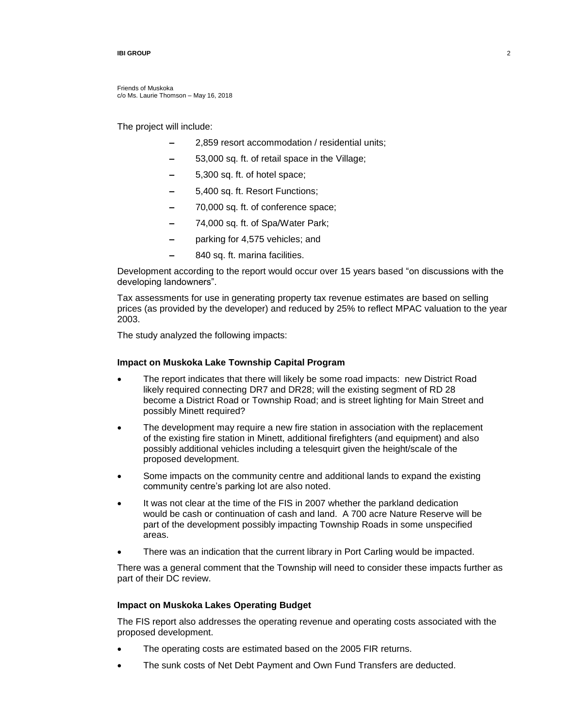Friends of Muskoka c/o Ms. Laurie Thomson – May 16, 2018

The project will include:

- **–** 2,859 resort accommodation / residential units;
- **–** 53,000 sq. ft. of retail space in the Village;
- **–** 5,300 sq. ft. of hotel space;
- **–** 5,400 sq. ft. Resort Functions;
- **–** 70,000 sq. ft. of conference space;
- **–** 74,000 sq. ft. of Spa/Water Park;
- **–** parking for 4,575 vehicles; and
- **–** 840 sq. ft. marina facilities.

Development according to the report would occur over 15 years based "on discussions with the developing landowners".

Tax assessments for use in generating property tax revenue estimates are based on selling prices (as provided by the developer) and reduced by 25% to reflect MPAC valuation to the year 2003.

The study analyzed the following impacts:

### **Impact on Muskoka Lake Township Capital Program**

- The report indicates that there will likely be some road impacts: new District Road likely required connecting DR7 and DR28; will the existing segment of RD 28 become a District Road or Township Road; and is street lighting for Main Street and possibly Minett required?
- The development may require a new fire station in association with the replacement of the existing fire station in Minett, additional firefighters (and equipment) and also possibly additional vehicles including a telesquirt given the height/scale of the proposed development.
- Some impacts on the community centre and additional lands to expand the existing community centre's parking lot are also noted.
- It was not clear at the time of the FIS in 2007 whether the parkland dedication would be cash or continuation of cash and land. A 700 acre Nature Reserve will be part of the development possibly impacting Township Roads in some unspecified areas.
- There was an indication that the current library in Port Carling would be impacted.

There was a general comment that the Township will need to consider these impacts further as part of their DC review.

## **Impact on Muskoka Lakes Operating Budget**

The FIS report also addresses the operating revenue and operating costs associated with the proposed development.

- The operating costs are estimated based on the 2005 FIR returns.
- The sunk costs of Net Debt Payment and Own Fund Transfers are deducted.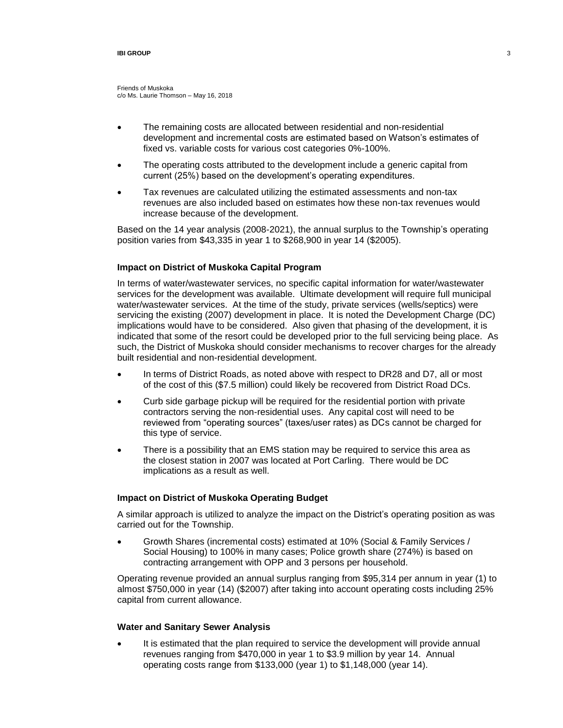Friends of Muskoka c/o Ms. Laurie Thomson – May 16, 2018

- The remaining costs are allocated between residential and non-residential development and incremental costs are estimated based on Watson's estimates of fixed vs. variable costs for various cost categories 0%-100%.
- The operating costs attributed to the development include a generic capital from current (25%) based on the development's operating expenditures.
- Tax revenues are calculated utilizing the estimated assessments and non-tax revenues are also included based on estimates how these non-tax revenues would increase because of the development.

Based on the 14 year analysis (2008-2021), the annual surplus to the Township's operating position varies from \$43,335 in year 1 to \$268,900 in year 14 (\$2005).

### **Impact on District of Muskoka Capital Program**

In terms of water/wastewater services, no specific capital information for water/wastewater services for the development was available. Ultimate development will require full municipal water/wastewater services. At the time of the study, private services (wells/septics) were servicing the existing (2007) development in place. It is noted the Development Charge (DC) implications would have to be considered. Also given that phasing of the development, it is indicated that some of the resort could be developed prior to the full servicing being place. As such, the District of Muskoka should consider mechanisms to recover charges for the already built residential and non-residential development.

- In terms of District Roads, as noted above with respect to DR28 and D7, all or most of the cost of this (\$7.5 million) could likely be recovered from District Road DCs.
- Curb side garbage pickup will be required for the residential portion with private contractors serving the non-residential uses. Any capital cost will need to be reviewed from "operating sources" (taxes/user rates) as DCs cannot be charged for this type of service.
- There is a possibility that an EMS station may be required to service this area as the closest station in 2007 was located at Port Carling. There would be DC implications as a result as well.

### **Impact on District of Muskoka Operating Budget**

A similar approach is utilized to analyze the impact on the District's operating position as was carried out for the Township.

 Growth Shares (incremental costs) estimated at 10% (Social & Family Services / Social Housing) to 100% in many cases; Police growth share (274%) is based on contracting arrangement with OPP and 3 persons per household.

Operating revenue provided an annual surplus ranging from \$95,314 per annum in year (1) to almost \$750,000 in year (14) (\$2007) after taking into account operating costs including 25% capital from current allowance.

## **Water and Sanitary Sewer Analysis**

 It is estimated that the plan required to service the development will provide annual revenues ranging from \$470,000 in year 1 to \$3.9 million by year 14. Annual operating costs range from \$133,000 (year 1) to \$1,148,000 (year 14).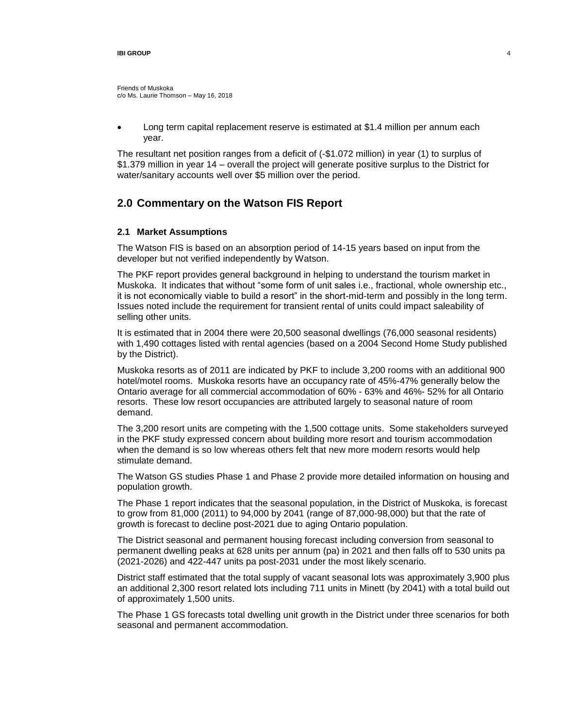Friends of Muskoka c/o Ms. Laurie Thomson – May 16, 2018

 Long term capital replacement reserve is estimated at \$1.4 million per annum each year.

The resultant net position ranges from a deficit of (-\$1.072 million) in year (1) to surplus of \$1.379 million in year 14 – overall the project will generate positive surplus to the District for water/sanitary accounts well over \$5 million over the period.

# **2.0 Commentary on the Watson FIS Report**

### **2.1 Market Assumptions**

The Watson FIS is based on an absorption period of 14-15 years based on input from the developer but not verified independently by Watson.

The PKF report provides general background in helping to understand the tourism market in Muskoka. It indicates that without "some form of unit sales i.e., fractional, whole ownership etc., it is not economically viable to build a resort" in the short-mid-term and possibly in the long term. Issues noted include the requirement for transient rental of units could impact saleability of selling other units.

It is estimated that in 2004 there were 20,500 seasonal dwellings (76,000 seasonal residents) with 1,490 cottages listed with rental agencies (based on a 2004 Second Home Study published by the District).

Muskoka resorts as of 2011 are indicated by PKF to include 3,200 rooms with an additional 900 hotel/motel rooms. Muskoka resorts have an occupancy rate of 45%-47% generally below the Ontario average for all commercial accommodation of 60% - 63% and 46%- 52% for all Ontario resorts. These low resort occupancies are attributed largely to seasonal nature of room demand.

The 3,200 resort units are competing with the 1,500 cottage units. Some stakeholders surveyed in the PKF study expressed concern about building more resort and tourism accommodation when the demand is so low whereas others felt that new more modern resorts would help stimulate demand.

The Watson GS studies Phase 1 and Phase 2 provide more detailed information on housing and population growth.

The Phase 1 report indicates that the seasonal population, in the District of Muskoka, is forecast to grow from 81,000 (2011) to 94,000 by 2041 (range of 87,000-98,000) but that the rate of growth is forecast to decline post-2021 due to aging Ontario population.

The District seasonal and permanent housing forecast including conversion from seasonal to permanent dwelling peaks at 628 units per annum (pa) in 2021 and then falls off to 530 units pa (2021-2026) and 422-447 units pa post-2031 under the most likely scenario.

District staff estimated that the total supply of vacant seasonal lots was approximately 3,900 plus an additional 2,300 resort related lots including 711 units in Minett (by 2041) with a total build out of approximately 1,500 units.

The Phase 1 GS forecasts total dwelling unit growth in the District under three scenarios for both seasonal and permanent accommodation.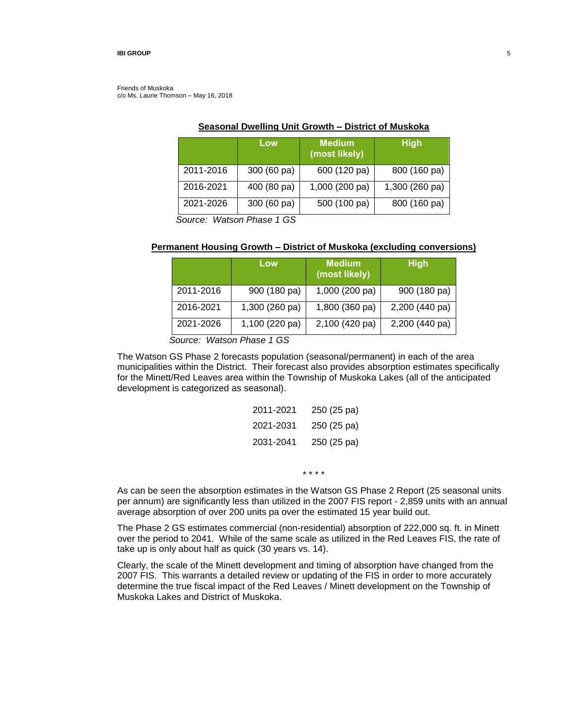Friends of Muskoka c/o Ms. Laurie Thomson – May 16, 2018

|           | Low         | <b>Medium</b><br>(most likely) | <b>High</b>    |
|-----------|-------------|--------------------------------|----------------|
| 2011-2016 | 300 (60 pa) | 600 (120 pa)                   | 800 (160 pa)   |
| 2016-2021 | 400 (80 pa) | 1,000 (200 pa)                 | 1,300 (260 pa) |
| 2021-2026 | 300 (60 pa) | 500 (100 pa)                   | 800 (160 pa)   |

# **Seasonal Dwelling Unit Growth – District of Muskoka**

*Source: Watson Phase 1 GS*

## **Permanent Housing Growth – District of Muskoka (excluding conversions)**

|           | Low            | <b>Medium</b><br>(most likely) | <b>High</b>    |
|-----------|----------------|--------------------------------|----------------|
| 2011-2016 | 900 (180 pa)   | 1,000 (200 pa)                 | 900 (180 pa)   |
| 2016-2021 | 1,300 (260 pa) | 1,800 (360 pa)                 | 2,200 (440 pa) |
| 2021-2026 | 1,100 (220 pa) | 2,100 (420 pa)                 | 2,200 (440 pa) |

*Source: Watson Phase 1 GS*

The Watson GS Phase 2 forecasts population (seasonal/permanent) in each of the area municipalities within the District. Their forecast also provides absorption estimates specifically for the Minett/Red Leaves area within the Township of Muskoka Lakes (all of the anticipated development is categorized as seasonal).

| 2011-2021 | 250 (25 pa) |
|-----------|-------------|
| 2021-2031 | 250 (25 pa) |
| 2031-2041 | 250 (25 pa) |

\* \* \* \*

As can be seen the absorption estimates in the Watson GS Phase 2 Report (25 seasonal units per annum) are significantly less than utilized in the 2007 FIS report - 2,859 units with an annual average absorption of over 200 units pa over the estimated 15 year build out.

The Phase 2 GS estimates commercial (non-residential) absorption of 222,000 sq. ft. in Minett over the period to 2041. While of the same scale as utilized in the Red Leaves FIS, the rate of take up is only about half as quick (30 years vs. 14).

Clearly, the scale of the Minett development and timing of absorption have changed from the 2007 FIS. This warrants a detailed review or updating of the FIS in order to more accurately determine the true fiscal impact of the Red Leaves / Minett development on the Township of Muskoka Lakes and District of Muskoka.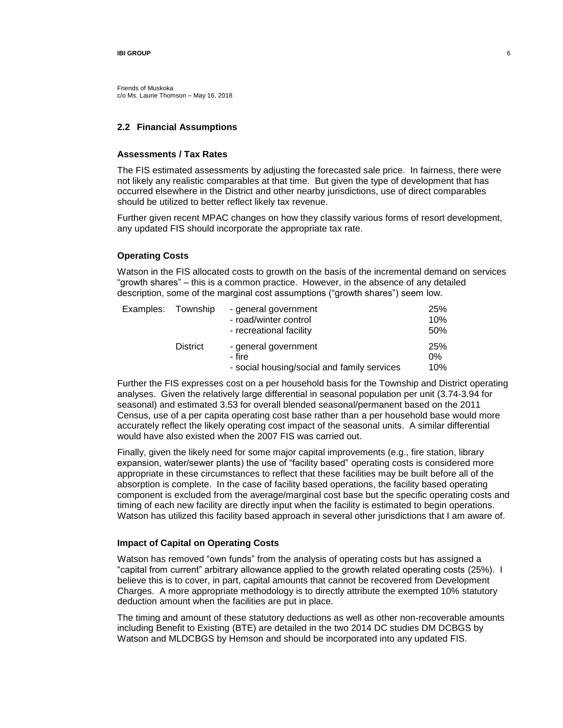Friends of Muskoka c/o Ms. Laurie Thomson – May 16, 2018

## **2.2 Financial Assumptions**

## **Assessments / Tax Rates**

The FIS estimated assessments by adjusting the forecasted sale price. In fairness, there were not likely any realistic comparables at that time. But given the type of development that has occurred elsewhere in the District and other nearby jurisdictions, use of direct comparables should be utilized to better reflect likely tax revenue.

Further given recent MPAC changes on how they classify various forms of resort development, any updated FIS should incorporate the appropriate tax rate.

## **Operating Costs**

Watson in the FIS allocated costs to growth on the basis of the incremental demand on services "growth shares" – this is a common practice. However, in the absence of any detailed description, some of the marginal cost assumptions ("growth shares") seem low.

| Examples: Township |                 | - general government                        | <b>25%</b> |
|--------------------|-----------------|---------------------------------------------|------------|
|                    |                 | - road/winter control                       | 10%        |
|                    |                 | - recreational facility                     | 50%        |
|                    | <b>District</b> | - general government                        | <b>25%</b> |
|                    |                 | - fire                                      | $0\%$      |
|                    |                 | - social housing/social and family services | 10%        |

Further the FIS expresses cost on a per household basis for the Township and District operating analyses. Given the relatively large differential in seasonal population per unit (3.74-3.94 for seasonal) and estimated 3.53 for overall blended seasonal/permanent based on the 2011 Census, use of a per capita operating cost base rather than a per household base would more accurately reflect the likely operating cost impact of the seasonal units. A similar differential would have also existed when the 2007 FIS was carried out.

Finally, given the likely need for some major capital improvements (e.g., fire station, library expansion, water/sewer plants) the use of "facility based" operating costs is considered more appropriate in these circumstances to reflect that these facilities may be built before all of the absorption is complete. In the case of facility based operations, the facility based operating component is excluded from the average/marginal cost base but the specific operating costs and timing of each new facility are directly input when the facility is estimated to begin operations. Watson has utilized this facility based approach in several other jurisdictions that I am aware of.

### **Impact of Capital on Operating Costs**

Watson has removed "own funds" from the analysis of operating costs but has assigned a "capital from current" arbitrary allowance applied to the growth related operating costs (25%). I believe this is to cover, in part, capital amounts that cannot be recovered from Development Charges. A more appropriate methodology is to directly attribute the exempted 10% statutory deduction amount when the facilities are put in place.

The timing and amount of these statutory deductions as well as other non-recoverable amounts including Benefit to Existing (BTE) are detailed in the two 2014 DC studies DM DCBGS by Watson and MLDCBGS by Hemson and should be incorporated into any updated FIS.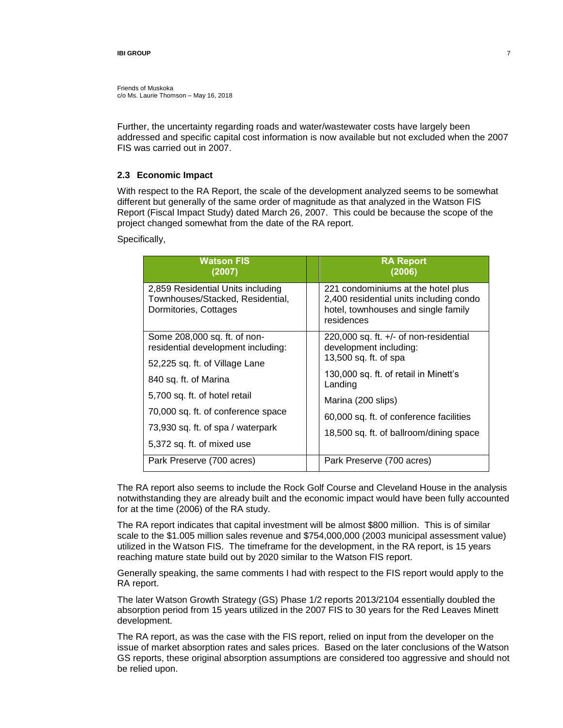Friends of Muskoka c/o Ms. Laurie Thomson – May 16, 2018

Further, the uncertainty regarding roads and water/wastewater costs have largely been addressed and specific capital cost information is now available but not excluded when the 2007 FIS was carried out in 2007.

### **2.3 Economic Impact**

With respect to the RA Report, the scale of the development analyzed seems to be somewhat different but generally of the same order of magnitude as that analyzed in the Watson FIS Report (Fiscal Impact Study) dated March 26, 2007. This could be because the scope of the project changed somewhat from the date of the RA report.

Specifically,

| <b>Watson FIS</b><br>(2007)                                                                                                                                                                       |  | <b>RA Report</b><br>(2006)                                                                                                         |  |  |
|---------------------------------------------------------------------------------------------------------------------------------------------------------------------------------------------------|--|------------------------------------------------------------------------------------------------------------------------------------|--|--|
| 2,859 Residential Units including<br>Townhouses/Stacked, Residential,<br>Dormitories, Cottages                                                                                                    |  | 221 condominiums at the hotel plus<br>2,400 residential units including condo<br>hotel, townhouses and single family<br>residences |  |  |
| Some 208,000 sq. ft. of non-<br>residential development including:                                                                                                                                |  | 220,000 sq. ft. $+/-$ of non-residential<br>development including:<br>13,500 sq. ft. of spa                                        |  |  |
| 52,225 sq. ft. of Village Lane<br>840 sq. ft. of Marina<br>5,700 sq. ft. of hotel retail<br>70,000 sq. ft. of conference space<br>73,930 sq. ft. of spa / waterpark<br>5,372 sq. ft. of mixed use |  | 130,000 sq. ft. of retail in Minett's<br>Landing                                                                                   |  |  |
|                                                                                                                                                                                                   |  | Marina (200 slips)                                                                                                                 |  |  |
|                                                                                                                                                                                                   |  | 60,000 sq. ft. of conference facilities                                                                                            |  |  |
|                                                                                                                                                                                                   |  | 18,500 sq. ft. of ballroom/dining space                                                                                            |  |  |
| Park Preserve (700 acres)                                                                                                                                                                         |  | Park Preserve (700 acres)                                                                                                          |  |  |
|                                                                                                                                                                                                   |  |                                                                                                                                    |  |  |

The RA report also seems to include the Rock Golf Course and Cleveland House in the analysis notwithstanding they are already built and the economic impact would have been fully accounted for at the time (2006) of the RA study.

The RA report indicates that capital investment will be almost \$800 million. This is of similar scale to the \$1.005 million sales revenue and \$754,000,000 (2003 municipal assessment value) utilized in the Watson FIS. The timeframe for the development, in the RA report, is 15 years reaching mature state build out by 2020 similar to the Watson FIS report.

Generally speaking, the same comments I had with respect to the FIS report would apply to the RA report.

The later Watson Growth Strategy (GS) Phase 1/2 reports 2013/2104 essentially doubled the absorption period from 15 years utilized in the 2007 FIS to 30 years for the Red Leaves Minett development.

The RA report, as was the case with the FIS report, relied on input from the developer on the issue of market absorption rates and sales prices. Based on the later conclusions of the Watson GS reports, these original absorption assumptions are considered too aggressive and should not be relied upon.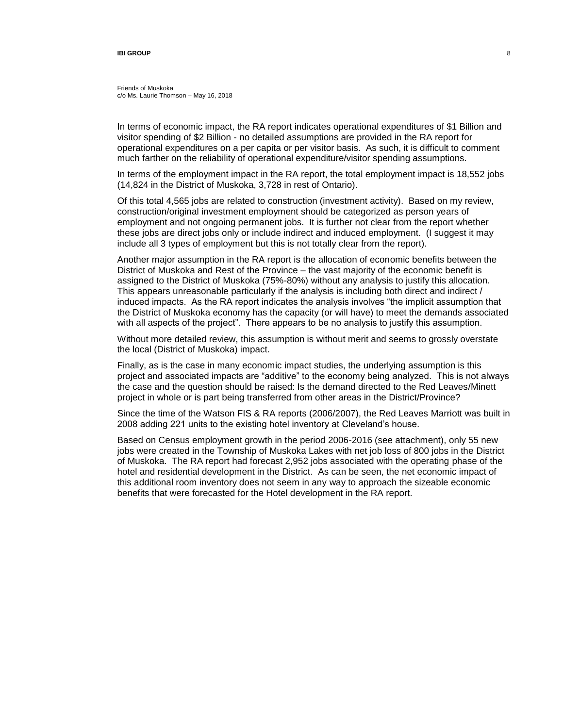In terms of economic impact, the RA report indicates operational expenditures of \$1 Billion and visitor spending of \$2 Billion - no detailed assumptions are provided in the RA report for operational expenditures on a per capita or per visitor basis. As such, it is difficult to comment much farther on the reliability of operational expenditure/visitor spending assumptions.

In terms of the employment impact in the RA report, the total employment impact is 18,552 jobs (14,824 in the District of Muskoka, 3,728 in rest of Ontario).

Of this total 4,565 jobs are related to construction (investment activity). Based on my review, construction/original investment employment should be categorized as person years of employment and not ongoing permanent jobs. It is further not clear from the report whether these jobs are direct jobs only or include indirect and induced employment. (I suggest it may include all 3 types of employment but this is not totally clear from the report).

Another major assumption in the RA report is the allocation of economic benefits between the District of Muskoka and Rest of the Province – the vast majority of the economic benefit is assigned to the District of Muskoka (75%-80%) without any analysis to justify this allocation. This appears unreasonable particularly if the analysis is including both direct and indirect / induced impacts. As the RA report indicates the analysis involves "the implicit assumption that the District of Muskoka economy has the capacity (or will have) to meet the demands associated with all aspects of the project". There appears to be no analysis to justify this assumption.

Without more detailed review, this assumption is without merit and seems to grossly overstate the local (District of Muskoka) impact.

Finally, as is the case in many economic impact studies, the underlying assumption is this project and associated impacts are "additive" to the economy being analyzed. This is not always the case and the question should be raised: Is the demand directed to the Red Leaves/Minett project in whole or is part being transferred from other areas in the District/Province?

Since the time of the Watson FIS & RA reports (2006/2007), the Red Leaves Marriott was built in 2008 adding 221 units to the existing hotel inventory at Cleveland's house.

Based on Census employment growth in the period 2006-2016 (see attachment), only 55 new jobs were created in the Township of Muskoka Lakes with net job loss of 800 jobs in the District of Muskoka. The RA report had forecast 2,952 jobs associated with the operating phase of the hotel and residential development in the District. As can be seen, the net economic impact of this additional room inventory does not seem in any way to approach the sizeable economic benefits that were forecasted for the Hotel development in the RA report.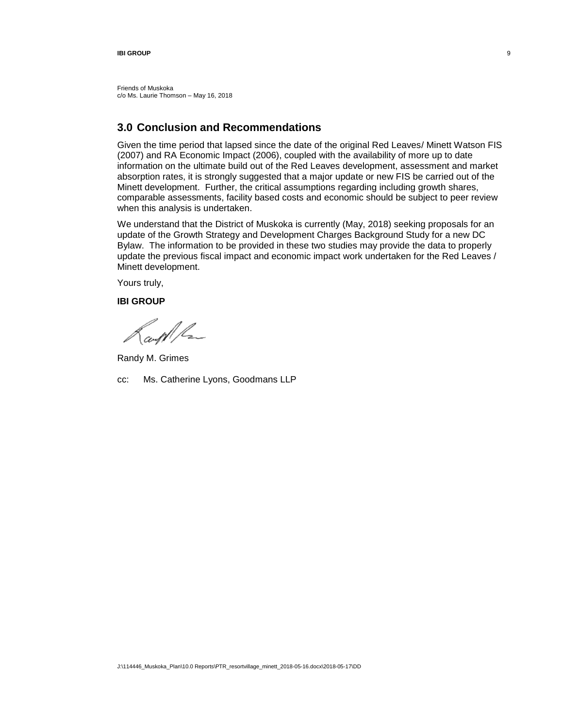Friends of Muskoka c/o Ms. Laurie Thomson – May 16, 2018

# **3.0 Conclusion and Recommendations**

Given the time period that lapsed since the date of the original Red Leaves/ Minett Watson FIS (2007) and RA Economic Impact (2006), coupled with the availability of more up to date information on the ultimate build out of the Red Leaves development, assessment and market absorption rates, it is strongly suggested that a major update or new FIS be carried out of the Minett development. Further, the critical assumptions regarding including growth shares, comparable assessments, facility based costs and economic should be subject to peer review when this analysis is undertaken.

We understand that the District of Muskoka is currently (May, 2018) seeking proposals for an update of the Growth Strategy and Development Charges Background Study for a new DC Bylaw. The information to be provided in these two studies may provide the data to properly update the previous fiscal impact and economic impact work undertaken for the Red Leaves / Minett development.

Yours truly,

**IBI GROUP**

ampl/Lz

Randy M. Grimes

cc: Ms. Catherine Lyons, Goodmans LLP

9